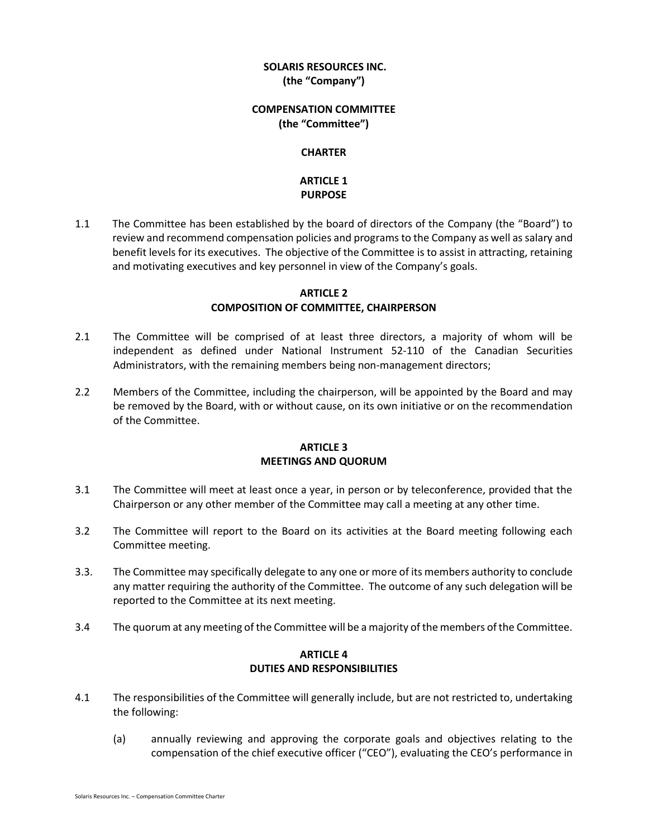## **SOLARIS RESOURCES INC. (the "Company")**

#### **COMPENSATION COMMITTEE (the "Committee")**

#### **CHARTER**

## **ARTICLE 1 PURPOSE**

1.1 The Committee has been established by the board of directors of the Company (the "Board") to review and recommend compensation policies and programs to the Company as well as salary and benefit levels for its executives. The objective of the Committee is to assist in attracting, retaining and motivating executives and key personnel in view of the Company's goals.

### **ARTICLE 2 COMPOSITION OF COMMITTEE, CHAIRPERSON**

- 2.1 The Committee will be comprised of at least three directors, a majority of whom will be independent as defined under National Instrument 52-110 of the Canadian Securities Administrators, with the remaining members being non-management directors;
- 2.2 Members of the Committee, including the chairperson, will be appointed by the Board and may be removed by the Board, with or without cause, on its own initiative or on the recommendation of the Committee.

#### **ARTICLE 3 MEETINGS AND QUORUM**

- 3.1 The Committee will meet at least once a year, in person or by teleconference, provided that the Chairperson or any other member of the Committee may call a meeting at any other time.
- 3.2 The Committee will report to the Board on its activities at the Board meeting following each Committee meeting.
- 3.3. The Committee may specifically delegate to any one or more of its members authority to conclude any matter requiring the authority of the Committee. The outcome of any such delegation will be reported to the Committee at its next meeting.
- 3.4 The quorum at any meeting of the Committee will be a majority of the members of the Committee.

### **ARTICLE 4 DUTIES AND RESPONSIBILITIES**

- 4.1 The responsibilities of the Committee will generally include, but are not restricted to, undertaking the following:
	- (a) annually reviewing and approving the corporate goals and objectives relating to the compensation of the chief executive officer ("CEO"), evaluating the CEO's performance in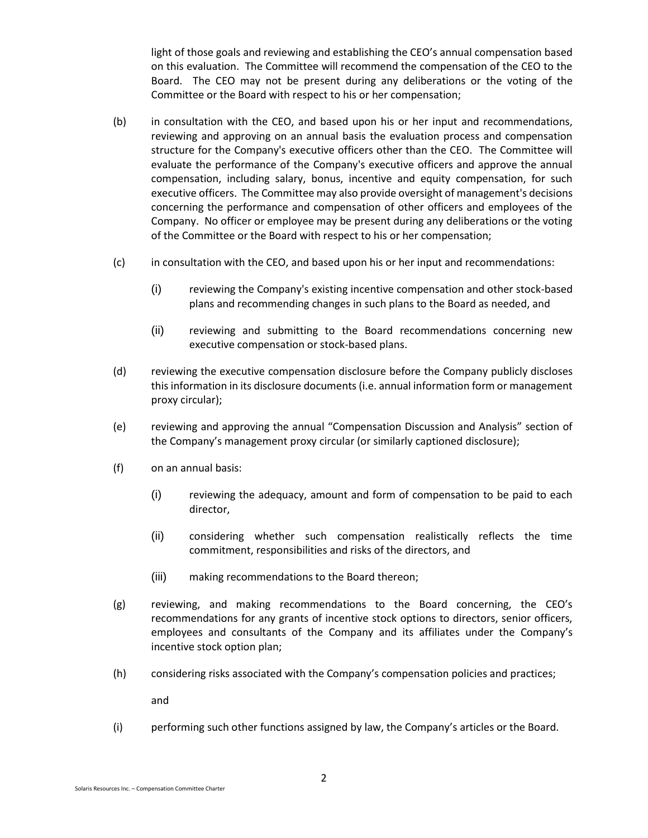light of those goals and reviewing and establishing the CEO's annual compensation based on this evaluation. The Committee will recommend the compensation of the CEO to the Board. The CEO may not be present during any deliberations or the voting of the Committee or the Board with respect to his or her compensation;

- (b) in consultation with the CEO, and based upon his or her input and recommendations, reviewing and approving on an annual basis the evaluation process and compensation structure for the Company's executive officers other than the CEO. The Committee will evaluate the performance of the Company's executive officers and approve the annual compensation, including salary, bonus, incentive and equity compensation, for such executive officers. The Committee may also provide oversight of management's decisions concerning the performance and compensation of other officers and employees of the Company. No officer or employee may be present during any deliberations or the voting of the Committee or the Board with respect to his or her compensation;
- (c) in consultation with the CEO, and based upon his or her input and recommendations:
	- (i) reviewing the Company's existing incentive compensation and other stock-based plans and recommending changes in such plans to the Board as needed, and
	- (ii) reviewing and submitting to the Board recommendations concerning new executive compensation or stock-based plans.
- (d) reviewing the executive compensation disclosure before the Company publicly discloses this information in its disclosure documents (i.e. annual information form or management proxy circular);
- (e) reviewing and approving the annual "Compensation Discussion and Analysis" section of the Company's management proxy circular (or similarly captioned disclosure);
- (f) on an annual basis:
	- (i) reviewing the adequacy, amount and form of compensation to be paid to each director,
	- (ii) considering whether such compensation realistically reflects the time commitment, responsibilities and risks of the directors, and
	- (iii) making recommendations to the Board thereon;
- (g) reviewing, and making recommendations to the Board concerning, the CEO's recommendations for any grants of incentive stock options to directors, senior officers, employees and consultants of the Company and its affiliates under the Company's incentive stock option plan;
- (h) considering risks associated with the Company's compensation policies and practices;

and

(i) performing such other functions assigned by law, the Company's articles or the Board.